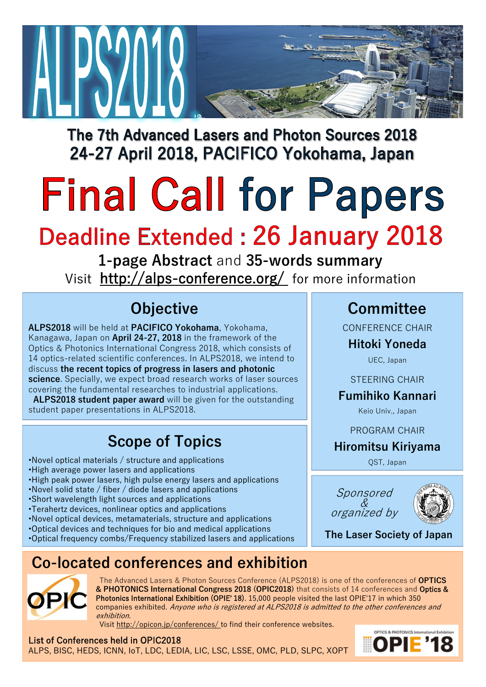

The 7th Advanced Lasers and Photon Sources 2018 24-27 April 2018, PACIFICO Yokohama, Japan

# **Final Call for Papers**

# **Deadline Extended: 26 January 2018**

**1-page Abstract** and **35-words summary** Visit http://alps-conference.org/ for more information

# **Objective**

**ALPS2018** will be held at **PACIFICO Yokohama**, Yokohama, Kanagawa, Japan on **April 24-27, 2018** in the framework of the Optics & Photonics International Congress 2018, which consists of 14 optics-related scientific conferences. In ALPS2018, we intend to discuss **the recent topics of progress in lasers and photonic science**. Specially, we expect broad research works of laser sources covering the fundamental researches to industrial applications. **ALPS2018 student paper award** will be given for the outstanding

student paper presentations in ALPS2018.

# **Scope of Topics**

- •Novel optical materials / structure and applications
- •High average power lasers and applications
- •High peak power lasers, high pulse energy lasers and applications
- •Novel solid state / fiber / diode lasers and applications
- •Short wavelength light sources and applications
- •Terahertz devices, nonlinear optics and applications
- •Novel optical devices, metamaterials, structure and applications
- •Optical devices and techniques for bio and medical applications
- •Optical frequency combs/Frequency stabilized lasers and applications

### **Co-located conferences and exhibition**



The Advanced Lasers & Photon Sources Conference (ALPS2018) is one of the conferences of **OPTICS & PHOTONICS International Congress 2018 (OPIC2018)** that consists of 14 conferences and Optics & Photonics International Exhibition (OPIE' 18). 15,000 people visited the last OPIE'17 in which 350 companies exhibited. Anyone who is registered at ALPS2018 is admitted to the other conferences and exhibition.

Visit http://opicon.jp/conferences/ to find their conference websites.

List of Conferences held in OPIC2018 ALPS, BISC, HEDS, ICNN, IoT, LDC, LEDIA, LIC, LSC, LSSE, OMC, PLD, SLPC, XOPT

**Committee**

CONFERENCE CHAIR

#### **Hitoki Yoneda**

UEC, Japan

STEERING CHAIR

#### **Fumihiko Kannari**

Keio Univ., Japan

PROGRAM CHAIR

#### **Hiromitsu Kiriyama**

QST, Japan

Sponsored & organized by



**The Laser Society of Japan**